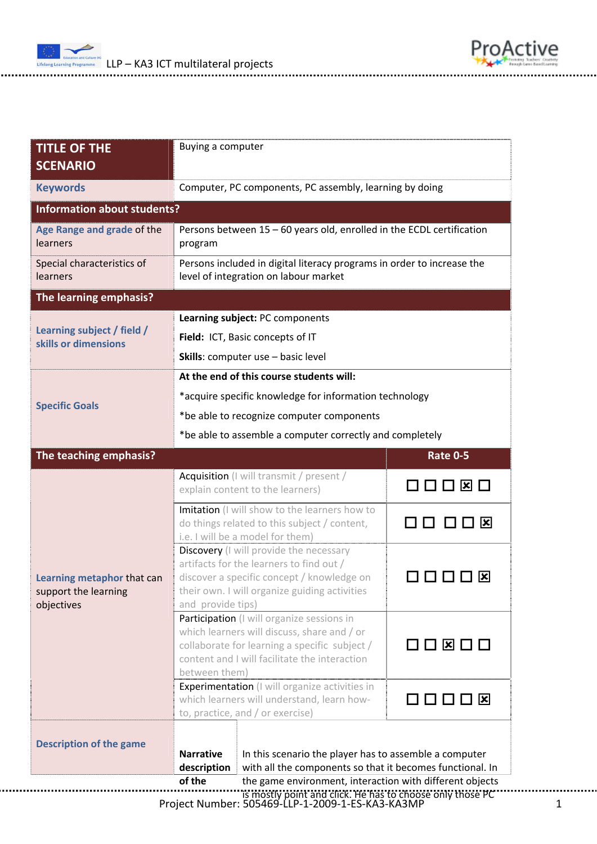



| Computer, PC components, PC assembly, learning by doing                                                                                                                                               |                                                        |                                                                                             |  |
|-------------------------------------------------------------------------------------------------------------------------------------------------------------------------------------------------------|--------------------------------------------------------|---------------------------------------------------------------------------------------------|--|
|                                                                                                                                                                                                       |                                                        |                                                                                             |  |
| Persons between 15 - 60 years old, enrolled in the ECDL certification<br>program                                                                                                                      |                                                        |                                                                                             |  |
| Persons included in digital literacy programs in order to increase the<br>level of integration on labour market                                                                                       |                                                        |                                                                                             |  |
|                                                                                                                                                                                                       |                                                        |                                                                                             |  |
| Learning subject: PC components                                                                                                                                                                       |                                                        |                                                                                             |  |
| Field: ICT, Basic concepts of IT                                                                                                                                                                      |                                                        |                                                                                             |  |
| Skills: computer use - basic level                                                                                                                                                                    |                                                        |                                                                                             |  |
| At the end of this course students will:                                                                                                                                                              |                                                        |                                                                                             |  |
| *acquire specific knowledge for information technology                                                                                                                                                |                                                        |                                                                                             |  |
| *be able to recognize computer components                                                                                                                                                             |                                                        |                                                                                             |  |
| *be able to assemble a computer correctly and completely                                                                                                                                              |                                                        |                                                                                             |  |
|                                                                                                                                                                                                       |                                                        | <b>Rate 0-5</b>                                                                             |  |
| Acquisition (I will transmit / present /<br>explain content to the learners)                                                                                                                          |                                                        | $\Box \Box \boxtimes \Box$                                                                  |  |
| Imitation (I will show to the learners how to<br>do things related to this subject / content,                                                                                                         |                                                        | □ ⊠                                                                                         |  |
| Discovery (I will provide the necessary<br>artifacts for the learners to find out /<br>$\vert x \vert$<br>discover a specific concept / knowledge on<br>their own. I will organize guiding activities |                                                        |                                                                                             |  |
| Participation (I will organize sessions in<br>which learners will discuss, share and / or<br>collaborate for learning a specific subject /<br>content and I will facilitate the interaction           |                                                        | $\Box\ \Box\ \boxtimes\ \Box\ \Box$                                                         |  |
| Experimentation (I will organize activities in<br>which learners will understand, learn how-<br>to, practice, and / or exercise)                                                                      |                                                        | 0000 <b>x</b>                                                                               |  |
| <b>Narrative</b>                                                                                                                                                                                      | In this scenario the player has to assemble a computer |                                                                                             |  |
|                                                                                                                                                                                                       | <b>Information about students?</b>                     | Buying a computer<br>i.e. I will be a model for them)<br>and provide tips)<br>between them) |  |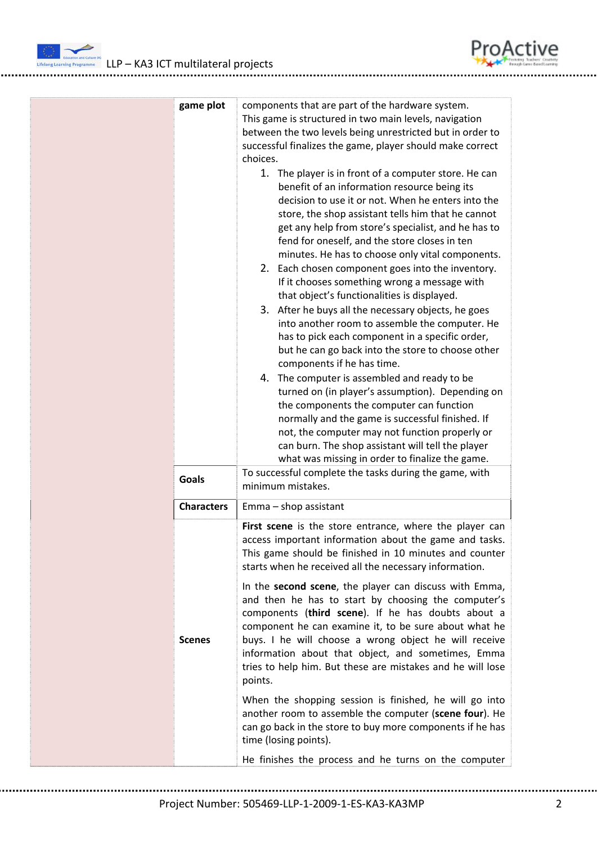



roActiv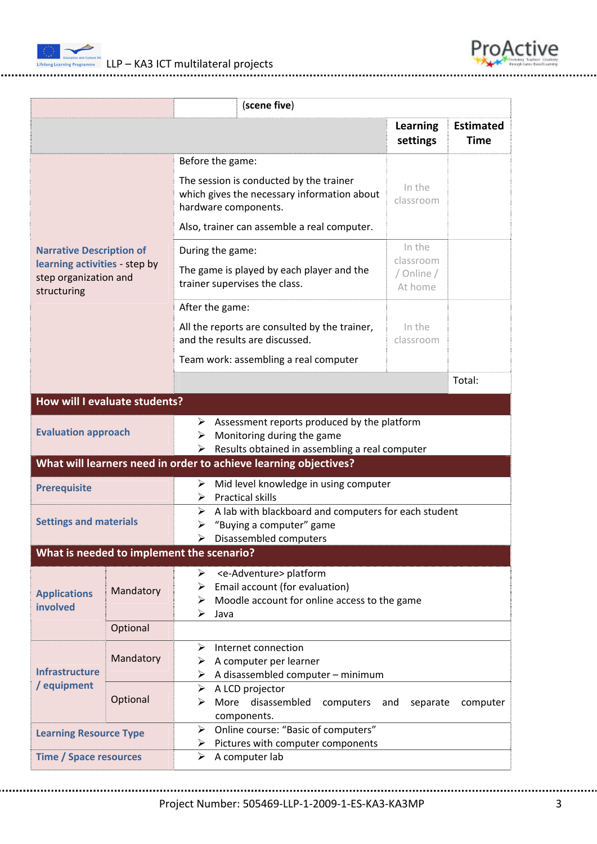



| (scene five)                                                                                                                                                                         |           |                                                                                                                                                                                                                                                                                                                                                                                           |                                                                                            |                                 |  |  |
|--------------------------------------------------------------------------------------------------------------------------------------------------------------------------------------|-----------|-------------------------------------------------------------------------------------------------------------------------------------------------------------------------------------------------------------------------------------------------------------------------------------------------------------------------------------------------------------------------------------------|--------------------------------------------------------------------------------------------|---------------------------------|--|--|
|                                                                                                                                                                                      |           |                                                                                                                                                                                                                                                                                                                                                                                           | Learning<br>settings                                                                       | <b>Estimated</b><br><b>Time</b> |  |  |
| <b>Narrative Description of</b><br>learning activities - step by<br>step organization and<br>structuring                                                                             |           | Before the game:<br>The session is conducted by the trainer<br>which gives the necessary information about<br>hardware components.<br>Also, trainer can assemble a real computer.<br>During the game:<br>The game is played by each player and the<br>trainer supervises the class.<br>After the game:<br>All the reports are consulted by the trainer,<br>and the results are discussed. | In the<br>classroom<br>In the<br>classroom<br>/ Online /<br>At home<br>In the<br>classroom |                                 |  |  |
|                                                                                                                                                                                      |           | Team work: assembling a real computer                                                                                                                                                                                                                                                                                                                                                     |                                                                                            | Total:                          |  |  |
| How will I evaluate students?                                                                                                                                                        |           |                                                                                                                                                                                                                                                                                                                                                                                           |                                                                                            |                                 |  |  |
| Assessment reports produced by the platform<br>➤<br><b>Evaluation approach</b><br>Monitoring during the game<br>➤<br>$\triangleright$ Results obtained in assembling a real computer |           |                                                                                                                                                                                                                                                                                                                                                                                           |                                                                                            |                                 |  |  |
| What will learners need in order to achieve learning objectives?                                                                                                                     |           |                                                                                                                                                                                                                                                                                                                                                                                           |                                                                                            |                                 |  |  |
| <b>Prerequisite</b>                                                                                                                                                                  |           | Mid level knowledge in using computer<br>➤<br><b>Practical skills</b><br>➤                                                                                                                                                                                                                                                                                                                |                                                                                            |                                 |  |  |
| <b>Settings and materials</b>                                                                                                                                                        |           | A lab with blackboard and computers for each student<br>➤<br>"Buying a computer" game<br>➤<br>Disassembled computers<br>➤                                                                                                                                                                                                                                                                 |                                                                                            |                                 |  |  |
| What is needed to implement the scenario?                                                                                                                                            |           |                                                                                                                                                                                                                                                                                                                                                                                           |                                                                                            |                                 |  |  |
| Mandatory<br><b>Applications</b><br>involved                                                                                                                                         |           | <e-adventure> platform<br/>➤<br/>Email account (for evaluation)<br/>➤<br/>Moodle account for online access to the game<br/>➤<br/>➤<br/>Java</e-adventure>                                                                                                                                                                                                                                 |                                                                                            |                                 |  |  |
|                                                                                                                                                                                      | Optional  |                                                                                                                                                                                                                                                                                                                                                                                           |                                                                                            |                                 |  |  |
| <b>Infrastructure</b><br>/ equipment                                                                                                                                                 | Mandatory | Internet connection<br>➤<br>A computer per learner<br>➤<br>A disassembled computer - minimum<br>➤                                                                                                                                                                                                                                                                                         |                                                                                            |                                 |  |  |
|                                                                                                                                                                                      | Optional  | A LCD projector<br>➤<br>More disassembled<br>computers<br>➤<br>components.                                                                                                                                                                                                                                                                                                                | separate<br>and                                                                            | computer                        |  |  |
| <b>Learning Resource Type</b>                                                                                                                                                        |           | Online course: "Basic of computers"<br>➤<br>Pictures with computer components<br>≻                                                                                                                                                                                                                                                                                                        |                                                                                            |                                 |  |  |
| <b>Time / Space resources</b>                                                                                                                                                        |           | A computer lab<br>➤                                                                                                                                                                                                                                                                                                                                                                       |                                                                                            |                                 |  |  |

Project Number: 505469‐LLP‐1‐2009‐1‐ES‐KA3‐KA3MP 3